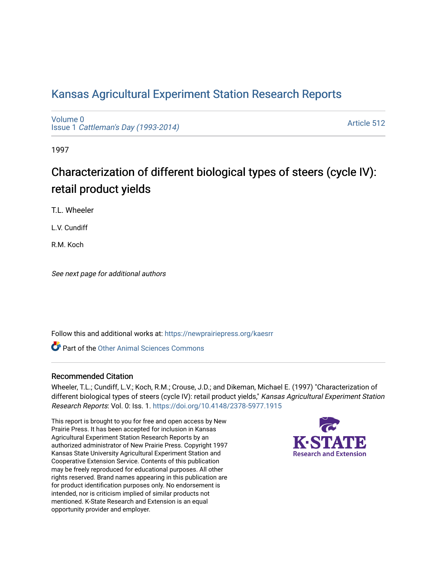# [Kansas Agricultural Experiment Station Research Reports](https://newprairiepress.org/kaesrr)

[Volume 0](https://newprairiepress.org/kaesrr/vol0) Issue 1 [Cattleman's Day \(1993-2014\)](https://newprairiepress.org/kaesrr/vol0/iss1) 

[Article 512](https://newprairiepress.org/kaesrr/vol0/iss1/512) 

1997

# Characterization of different biological types of steers (cycle IV): retail product yields

T.L. Wheeler

L.V. Cundiff

R.M. Koch

See next page for additional authors

Follow this and additional works at: [https://newprairiepress.org/kaesrr](https://newprairiepress.org/kaesrr?utm_source=newprairiepress.org%2Fkaesrr%2Fvol0%2Fiss1%2F512&utm_medium=PDF&utm_campaign=PDFCoverPages) 

**C** Part of the [Other Animal Sciences Commons](http://network.bepress.com/hgg/discipline/82?utm_source=newprairiepress.org%2Fkaesrr%2Fvol0%2Fiss1%2F512&utm_medium=PDF&utm_campaign=PDFCoverPages)

## Recommended Citation

Wheeler, T.L.; Cundiff, L.V.; Koch, R.M.; Crouse, J.D.; and Dikeman, Michael E. (1997) "Characterization of different biological types of steers (cycle IV): retail product yields," Kansas Agricultural Experiment Station Research Reports: Vol. 0: Iss. 1.<https://doi.org/10.4148/2378-5977.1915>

This report is brought to you for free and open access by New Prairie Press. It has been accepted for inclusion in Kansas Agricultural Experiment Station Research Reports by an authorized administrator of New Prairie Press. Copyright 1997 Kansas State University Agricultural Experiment Station and Cooperative Extension Service. Contents of this publication may be freely reproduced for educational purposes. All other rights reserved. Brand names appearing in this publication are for product identification purposes only. No endorsement is intended, nor is criticism implied of similar products not mentioned. K-State Research and Extension is an equal opportunity provider and employer.

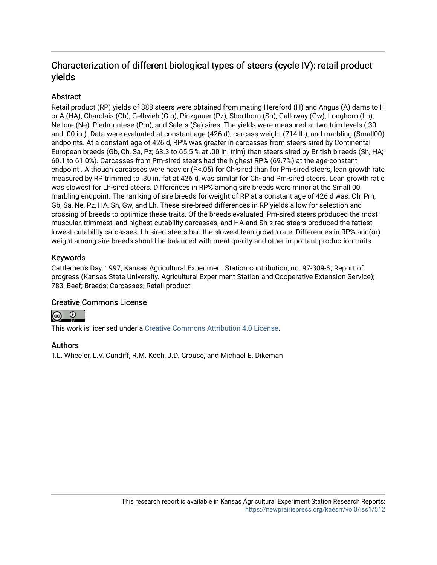## Characterization of different biological types of steers (cycle IV): retail product yields

## Abstract

Retail product (RP) yields of 888 steers were obtained from mating Hereford (H) and Angus (A) dams to H or A (HA), Charolais (Ch), Gelbvieh (G b), Pinzgauer (Pz), Shorthorn (Sh), Galloway (Gw), Longhorn (Lh), Nellore (Ne), Piedmontese (Pm), and Salers (Sa) sires. The yields were measured at two trim levels (.30 and .00 in.). Data were evaluated at constant age (426 d), carcass weight (714 lb), and marbling (Small00) endpoints. At a constant age of 426 d, RP% was greater in carcasses from steers sired by Continental European breeds (Gb, Ch, Sa, Pz; 63.3 to 65.5 % at .00 in. trim) than steers sired by British b reeds (Sh, HA; 60.1 to 61.0%). Carcasses from Pm-sired steers had the highest RP% (69.7%) at the age-constant endpoint . Although carcasses were heavier (P<.05) for Ch-sired than for Pm-sired steers, lean growth rate measured by RP trimmed to .30 in. fat at 426 d, was similar for Ch- and Pm-sired steers. Lean growth rat e was slowest for Lh-sired steers. Differences in RP% among sire breeds were minor at the Small 00 marbling endpoint. The ran king of sire breeds for weight of RP at a constant age of 426 d was: Ch, Pm, Gb, Sa, Ne, Pz, HA, Sh, Gw, and Lh. These sire-breed differences in RP yields allow for selection and crossing of breeds to optimize these traits. Of the breeds evaluated, Pm-sired steers produced the most muscular, trimmest, and highest cutability carcasses, and HA and Sh-sired steers produced the fattest, lowest cutability carcasses. Lh-sired steers had the slowest lean growth rate. Differences in RP% and(or) weight among sire breeds should be balanced with meat quality and other important production traits.

## Keywords

Cattlemen's Day, 1997; Kansas Agricultural Experiment Station contribution; no. 97-309-S; Report of progress (Kansas State University. Agricultural Experiment Station and Cooperative Extension Service); 783; Beef; Breeds; Carcasses; Retail product

## Creative Commons License



This work is licensed under a [Creative Commons Attribution 4.0 License](https://creativecommons.org/licenses/by/4.0/).

## Authors

T.L. Wheeler, L.V. Cundiff, R.M. Koch, J.D. Crouse, and Michael E. Dikeman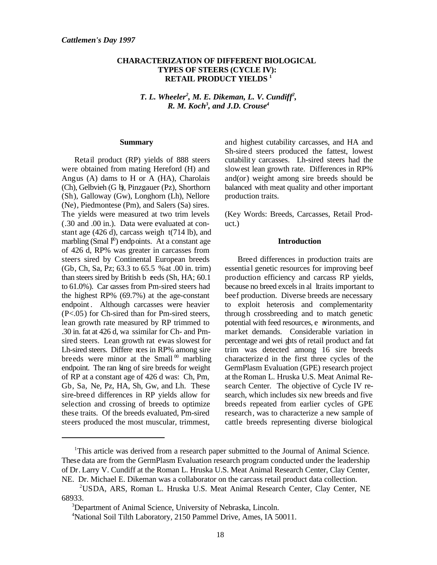### **CHARACTERIZATION OF DIFFERENT BIOLOGICAL TYPES OF STEERS (CYCLE IV): RETAIL PRODUCT YIELDS <sup>1</sup>**

*T. L. Wheeler*<sup>2</sup>, *M. E. Dikeman, L. V. Cundiff<sup>2</sup>, R. M. Koch<sup>3</sup>, and J.D. Crouse<sup>4</sup>* 

#### **Summary**

Retail product (RP) yields of 888 steers were obtained from mating Hereford (H) and Angus (A) dams to H or A (HA), Charolais (Ch), Gelbvieh (G b), Pinzgauer (Pz), Shorthorn (Sh), Galloway (Gw), Longhorn (Lh), Nellore (Ne), Piedmontese (Pm), and Salers (Sa) sires. The yields were measured at two trim levels (.30 and .00 in.). Data were evaluated at constant age  $(426 d)$ , carcass weigh  $t(714 lb)$ , and marbling (Smal  $\mathfrak{p}$ ) endpoints. At a constant age of 426 d, RP% was greater in carcasses from steers sired by Continental European breeds (Gb, Ch, Sa, Pz; 63.3 to 65.5 % at .00 in. trim) than steers sired by British  $b$  reeds (Sh, HA; 60.1) to 61.0%). Car casses from Pm-sired steers had the highest RP% (69.7%) at the age-constant endpoint. Although carcasses were heavier (P<.05) for Ch-sired than for Pm-sired steers, lean growth rate measured by RP trimmed to .30 in. fat at  $426$  d, wa s similar for Ch- and Pmsired steers. Lean growth rat e was slowest for Lh-sired steers. Differe nces in RP% among sire breeds were minor at the Small  $\alpha$ <sup>00</sup> marbling endpoint. The ran king of sire breeds for weight of RP at a constant age of 426 d was: Ch, Pm, Gb, Sa, Ne, Pz, HA, Sh, Gw, and Lh. These sire-breed differences in RP yields allow for selection and crossing of breeds to optimize these traits. Of the breeds evaluated, Pm-sired steers produced the most muscular, trimmest,

and highest cutability carcasses, and HA and Sh-sired steers produced the fattest, lowest cutabilit y carcasses. Lh-sired steers had the slowest lean growth rate. Differences in RP% and(or) weight among sire breeds should be balanced with meat quality and other important production traits.

(Key Words: Breeds, Carcasses, Retail Product.)

#### **Introduction**

Breed differences in production traits are essential genetic resources for improving beef production efficiency and carcass RP yields, because no breed excels in al ltraits important to beef production. Diverse breeds are necessary to exploit heterosis and complementarity through crossbreeding and to match genetic potential with feed resources, e nvironments, and market demands. Considerable variation in percentage and wei ghts of retail product and fat trim was detected among 16 sire breeds characterize d in the first three cycles of the GermPlasm Evaluation (GPE) research project at the Roman L. Hruska U.S. Meat Animal Research Center. The objective of Cycle IV research, which includes six new breeds and five breeds repeated from earlier cycles of GPE research, was to characterize a new sample of cattle breeds representing diverse biological

<sup>&</sup>lt;sup>1</sup>This article was derived from a research paper submitted to the Journal of Animal Science. These data are from the GermPlasm Evaluation research program conducted under the leadership of Dr. Larry V. Cundiff at the Roman L. Hruska U.S. Meat Animal Research Center, Clay Center, NE. Dr. Michael E. Dikeman was a collaborator on the carcass retail product data collection.

USDA, ARS, Roman L. Hruska U.S. Meat Animal Research Center, Clay Center, NE <sup>2</sup> 68933.

<sup>&</sup>lt;sup>3</sup>Department of Animal Science, University of Nebraska, Lincoln.

<sup>&</sup>lt;sup>4</sup>National Soil Tilth Laboratory, 2150 Pammel Drive, Ames, IA 50011.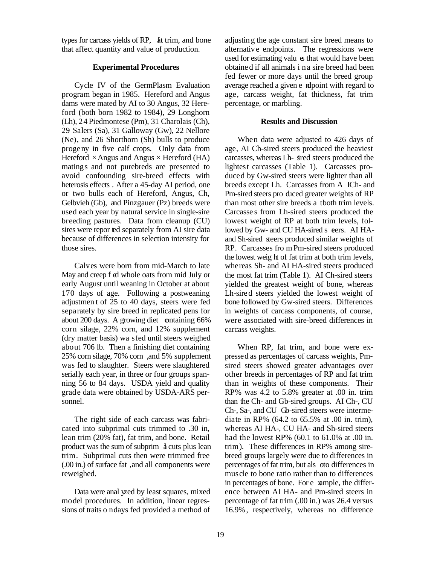types for carcass yields of RP, fat trim, and bone that affect quantity and value of production.

#### **Experimental Procedures**

Cycle IV of the GermPlasm Evaluation program began in 1985. Hereford and Angus dams were mated by AI to 30 Angus, 32 Hereford (both born 1982 to 1984), 29 Longhorn (Lh), 24 Piedmontese (Pm), 31 Charolais (Ch), 29 Salers (Sa), 31 Galloway (Gw), 22 Nellore (Ne), and 26 Shorthorn (Sh) bulls to produce progeny in five calf crops. Only data from Hereford  $\times$  Angus and Angus  $\times$  Hereford (HA) matings and not purebreds are presented to avoid confounding sire-breed effects with heterosis effects . After a 45-day AI period, one or two bulls each of Hereford, Angus, Ch, Gelbvieh (Gb), and Pinzgauer (Pz) breeds were used each year by natural service in single-sire breeding pastures. Data from cleanup (CU) sires were repor ted separately from AI sire data because of differences in selection intensity for those sires.

Calves were born from mid-March to late May and creep f ed whole oats from mid July or early August until weaning in October at about 170 days of age. Following a postweaning adjustmen t of 25 to 40 days, steers were fed separately by sire breed in replicated pens for about 200 days. A growing diet containing 66% corn silage, 22% corn, and 12% supplement (dry matter basis) wa s fed until steers weighed about 706 lb. Then a finishing diet containing 25% corn silage, 70% corn , and 5% supplement was fed to slaughter. Steers were slaughtered serially each year, in three or four groups spanning 56 to 84 days. USDA yield and quality grade data were obtained by USDA-ARS personnel.

The right side of each carcass was fabricated into subprimal cuts trimmed to .30 in, lean trim (20% fat), fat trim, and bone. Retail product was the sum of subprim **a** cuts plus lean trim. Subprimal cuts then were trimmed free (.00 in.) of surface fat , and all components were reweighed.

Data were anal yzed by least squares, mixed model procedures. In addition, linear regressions of traits o n days fed provided a method of adjustin g the age constant sire breed means to alternative endpoints. The regressions were used for estimating valu  $\alpha$  that would have been obtained if all animals i n a sire breed had been fed fewer or more days until the breed group average reached a given e ndpoint with regard to age, carcass weight, fat thickness, fat trim percentage, or marbling.

#### **Results and Discussion**

When data were adjusted to 426 days of age, AI Ch-sired steers produced the heaviest carcasses, whereas Lh- sired steers produced the lightest carcasses (Table 1). Carcasses produced by Gw-sired steers were lighter than all breeds except Lh. Carcasses from A ICh- and Pm-sired steers pro duced greater weights of RP than most other sire breeds a tboth trim levels. Carcasse s from Lh-sired steers produced the lowest weight of RP at both trim levels, followed by Gw- and CU HA-sired s teers. AI HAand Sh-sired steers produced similar weights of RP. Carcasses fro m Pm-sired steers produced the lowest weig ht of fat trim at both trim levels, whereas Sh- and AI HA-sired steers produced the most fat trim (Table 1). AI Ch-sired steers yielded the greatest weight of bone, whereas Lh-sired steers yielded the lowest weight of bone followed by Gw-sired steers. Differences in weights of carcass components, of course, were associated with sire-breed differences in carcass weights.

When RP, fat trim, and bone were expressed as percentages of carcass weights, Pmsired steers showed greater advantages over other breeds in percentages of RP and fat trim than in weights of these components. Their RP% was 4.2 to 5.8% greater at .00 in. trim than the Ch- and Gb-sired groups. AI Ch-, CU Ch-, Sa-, and CU Gb-sired steers were intermediate in RP% (64.2 to 65.5% at .00 in. trim), whereas AI HA-, CU HA- and Sh-sired steers had the lowest RP% (60.1 to 61.0% at .00 in. trim). These differences in RP% among sirebreed groups largely were due to differences in percentages of fat trim, but als oto differences in muscle to bone ratio rather than to differences in percentages of bone. For e xample, the difference between AI HA- and Pm-sired steers in percentage of fat trim (.00 in.) was 26.4 versus 16.9%, respectively, whereas no difference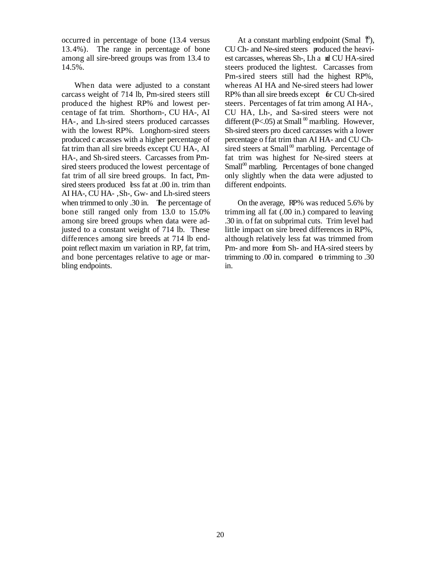occurre d in percentage of bone (13.4 versus 13.4%). The range in percentage of bone among all sire-breed groups was from 13.4 to 14.5%.

When data were adjusted to a constant carcass weight of 714 lb, Pm-sired steers still produced the highest RP% and lowest percentage of fat trim. Shorthorn-, CU HA-, AI HA-, and Lh-sired steers produced carcasses with the lowest RP%. Longhorn-sired steers produced c arcasses with a higher percentage of fat trim than all sire breeds except CU HA-, AI HA-, and Sh-sired steers. Carcasses from Pmsired steers produced the lowest percentage of fat trim of all sire breed groups. In fact, Pmsired steers produced less fat at .00 in. trim than AI HA-, CU HA- , Sh-, Gw- and Lh-sired steers when trimmed to only .30 in. The percentage of bone still ranged only from 13.0 to 15.0% among sire breed groups when data were adjusted to a constant weight of 714 lb. These differences among sire breeds at 714 lb endpoint reflect maxim um variation in RP, fat trim, and bone percentages relative to age or marbling endpoints.

At a constant marbling endpoint (Smal  $\mathcal{P}$ ), CU Ch- and Ne-sired steers produced the heaviest carcasses, whereas Sh-, Lh a nd CU HA-sired steers produced the lightest. Carcasses from Pm-sired steers still had the highest RP%, whereas AI HA and Ne-sired steers had lower RP% than all sire breeds except for CU Ch-sired steers. Percentages of fat trim among AI HA-, CU HA, Lh-, and Sa-sired steers were not different (P<.05) at Small  $\omega$  marbling. However, Sh-sired steers pro duced carcasses with a lower percentage o f fat trim than AI HA- and CU Chsired steers at Small $\omega$ <sup>00</sup> marbling. Percentage of fat trim was highest for Ne-sired steers at  $Small<sup>00</sup>$  marbling. Percentages of bone changed only slightly when the data were adjusted to different endpoints.

On the average, RP% was reduced 5.6% by trimming all fat (.00 in.) compared to leaving .30 in. of fat on subprimal cuts. Trim level had little impact on sire breed differences in RP%, although relatively less fat was trimmed from Pm- and more from Sh- and HA-sired steers by trimming to  $.00$  in. compared  $\bullet$  trimming to  $.30$ in.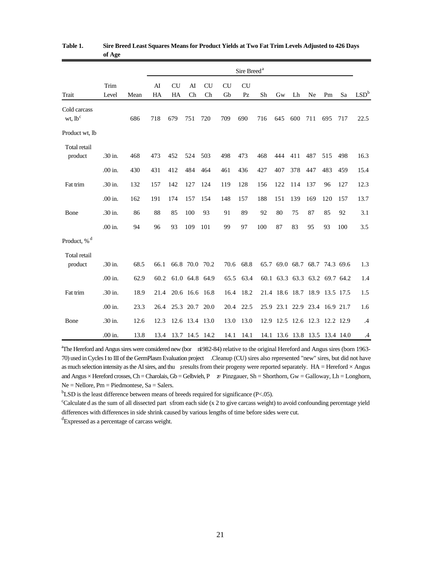|                                     | o             |      | Sire Breed <sup>a</sup> |                     |                |                 |                 |                 |     |     |                               |     |     |     |                  |
|-------------------------------------|---------------|------|-------------------------|---------------------|----------------|-----------------|-----------------|-----------------|-----|-----|-------------------------------|-----|-----|-----|------------------|
| Trait                               | Trim<br>Level | Mean | AI<br>HA                | <b>CU</b><br>HA     | AI<br>Ch       | <b>CU</b><br>Ch | <b>CU</b><br>Gb | <b>CU</b><br>Pz | Sh  | Gw  | Lh                            | Ne  | Pm  | Sa  | LSD <sup>b</sup> |
| Cold carcass<br>wt, lb <sup>c</sup> |               | 686  | 718                     | 679                 | 751            | 720             | 709             | 690             | 716 | 645 | 600                           | 711 | 695 | 717 | 22.5             |
| Product wt, lb                      |               |      |                         |                     |                |                 |                 |                 |     |     |                               |     |     |     |                  |
| Total retail<br>product             | $.30$ in.     | 468  | 473                     | 452                 | 524            | 503             | 498             | 473             | 468 | 444 | 411                           | 487 | 515 | 498 | 16.3             |
|                                     | .00 in.       | 430  | 431                     | 412                 | 484            | 464             | 461             | 436             | 427 | 407 | 378                           | 447 | 483 | 459 | 15.4             |
| Fat trim                            | .30 in.       | 132  | 157                     | 142                 | 127            | 124             | 119             | 128             | 156 | 122 | 114                           | 137 | 96  | 127 | 12.3             |
|                                     | .00 in.       | 162  | 191                     | 174                 | 157            | 154             | 148             | 157             | 188 | 151 | 139                           | 169 | 120 | 157 | 13.7             |
| Bone                                | .30 in.       | 86   | 88                      | 85                  | 100            | 93              | 91              | 89              | 92  | 80  | 75                            | 87  | 85  | 92  | 3.1              |
|                                     | .00 in.       | 94   | 96                      | 93                  | 109            | 101             | 99              | 97              | 100 | 87  | 83                            | 95  | 93  | 100 | 3.5              |
| Product, % <sup>d</sup>             |               |      |                         |                     |                |                 |                 |                 |     |     |                               |     |     |     |                  |
| Total retail                        |               |      |                         |                     |                |                 |                 |                 |     |     |                               |     |     |     |                  |
| product                             | .30 in.       | 68.5 | 66.1                    |                     | 66.8 70.0 70.2 |                 | 70.6            | 68.8            |     |     | 65.7 69.0 68.7 68.7 74.3 69.6 |     |     |     | 1.3              |
|                                     | .00 in.       | 62.9 | 60.2                    |                     |                | 61.0 64.8 64.9  | 65.5            | 63.4            |     |     | 60.1 63.3 63.3 63.2 69.7 64.2 |     |     |     | 1.4              |
| Fat trim                            | .30 in.       | 18.9 | 21.4                    |                     | 20.6 16.6 16.8 |                 | 16.4            | 18.2            |     |     | 21.4 18.6 18.7 18.9 13.5 17.5 |     |     |     | 1.5              |
|                                     | .00 in.       | 23.3 | 26.4                    |                     | 25.3 20.7      | 20.0            | 20.4            | 22.5            |     |     | 25.9 23.1 22.9 23.4 16.9 21.7 |     |     |     | 1.6              |
| Bone                                | .30 in.       | 12.6 | 12.3                    |                     | 12.6 13.4 13.0 |                 | 13.0            | 13.0            |     |     | 12.9 12.5 12.6 12.3 12.2 12.9 |     |     |     | $\mathcal{A}$    |
|                                     | .00 in.       | 13.8 |                         | 13.4 13.7 14.5 14.2 |                |                 | 14.1            | 14.1            |     |     | 14.1 13.6 13.8 13.5 13.4 14.0 |     |     |     | $\cdot$ 4        |

#### **Table 1. Sire Breed Least Squares Means for Product Yields at Two Fat Trim Levels Adjusted to 426 Days of Age**

<sup>a</sup>The Hereford and Angus sires were considered new (bor nl 982-84) relative to the original Hereford and Angus sires (born 1963-70) used in Cycles I to III of the GermPlasm Evaluation project . Cleanup (CU) sires also represented "new" sires, but did not have as much selection intensity as the AI sires, and thu sresults from their progeny were reported separately. HA = Hereford  $\times$  Angus and Angus × Hereford crosses, Ch = Charolais, Gb = Gelbvieh, P  $\neq$  Pinzgauer, Sh = Shorthorn, Gw = Galloway, Lh = Longhorn, Ne = Nellore, Pm = Piedmontese, Sa = Salers.

 $b$ LSD is the least difference between means of breeds required for significance (P<.05).

 $c$ Calculate d as the sum of all dissected part s from each side (x 2 to give carcass weight) to avoid confounding percentage yield differences with differences in side shrink caused by various lengths of time before sides were cut.

 ${}^d$ Expressed as a percentage of carcass weight.